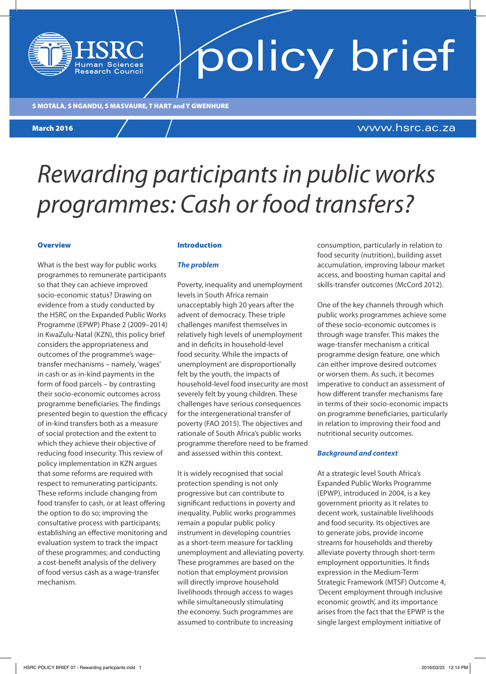#### S MOTALA, S NGANDU, S MASVAURE, T HART and Y GWENHURE S MOTALA, S NGANDU, S MASVAURE, T HART and Y GWENHURE

**lesearch Council** 

#### March 2016 March 2016

#### www.hsrc.ac.za

policy brief

## *Rewarding participants in public works programmes: Cash or food transfers?*

#### **Overview**

What is the best way for public works programmes to remunerate participants so that they can achieve improved socio-economic status? Drawing on evidence from a study conducted by the HSRC on the Expanded Public Works Programme (EPWP) Phase 2 (2009–2014) in KwaZulu-Natal (KZN), this policy brief considers the appropriateness and outcomes of the programme's wagetransfer mechanisms – namely, 'wages' in cash or as in-kind payments in the form of food parcels – by contrasting their socio-economic outcomes across programme beneficiaries. The findings presented begin to question the efficacy of in-kind transfers both as a measure of social protection and the extent to which they achieve their objective of reducing food insecurity. This review of policy implementation in KZN argues that some reforms are required with respect to remunerating participants. These reforms include changing from food transfer to cash, or at least offering the option to do so; improving the consultative process with participants; establishing an effective monitoring and evaluation system to track the impact of these programmes; and conducting a cost-benefit analysis of the delivery of food versus cash as a wage-transfer mechanism.

#### Introduction

#### *The problem*

Poverty, inequality and unemployment levels in South Africa remain unacceptably high 20 years after the advent of democracy. These triple challenges manifest themselves in relatively high levels of unemployment and in deficits in household-level food security. While the impacts of unemployment are disproportionally felt by the youth, the impacts of household-level food insecurity are most severely felt by young children. These challenges have serious consequences for the intergenerational transfer of poverty (FAO 2015). The objectives and rationale of South Africa's public works programme therefore need to be framed and assessed within this context.

It is widely recognised that social protection spending is not only progressive but can contribute to significant reductions in poverty and inequality. Public works programmes remain a popular public policy instrument in developing countries as a short-term measure for tackling unemployment and alleviating poverty. These programmes are based on the notion that employment provision will directly improve household livelihoods through access to wages while simultaneously stimulating the economy. Such programmes are assumed to contribute to increasing

consumption, particularly in relation to food security (nutrition), building asset accumulation, improving labour market access, and boosting human capital and skills-transfer outcomes (McCord 2012).

One of the key channels through which public works programmes achieve some of these socio-economic outcomes is through wage transfer. This makes the wage-transfer mechanism a critical programme design feature, one which can either improve desired outcomes or worsen them. As such, it becomes imperative to conduct an assessment of how different transfer mechanisms fare in terms of their socio-economic impacts on programme beneficiaries, particularly in relation to improving their food and nutritional security outcomes.

#### *Background and context*

At a strategic level South Africa's Expanded Public Works Programme (EPWP), introduced in 2004, is a key government priority as it relates to decent work, sustainable livelihoods and food security. Its objectives are to generate jobs, provide income streams for households and thereby alleviate poverty through short-term employment opportunities. It finds expression in the Medium-Term Strategic Framework (MTSF) Outcome 4, 'Decent employment through inclusive economic growth', and its importance arises from the fact that the EPWP is the single largest employment initiative of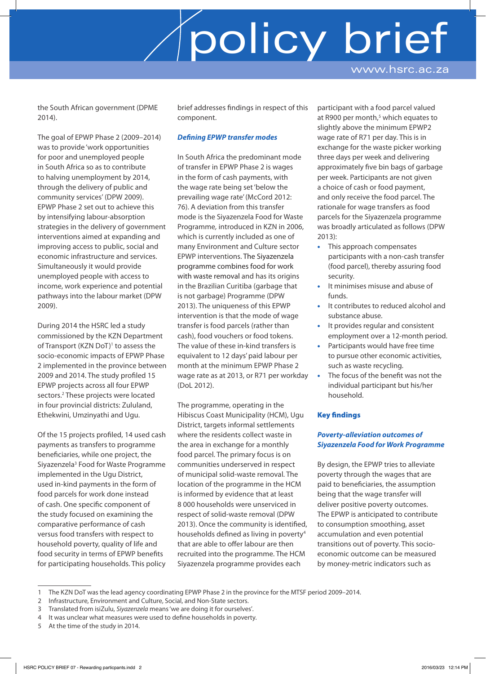policy brief

www.hsrc.ac.za

the South African government (DPME 2014).

The goal of EPWP Phase 2 (2009–2014) was to provide 'work opportunities for poor and unemployed people in South Africa so as to contribute to halving unemployment by 2014, through the delivery of public and community services' (DPW 2009). EPWP Phase 2 set out to achieve this by intensifying labour-absorption strategies in the delivery of government interventions aimed at expanding and improving access to public, social and economic infrastructure and services. Simultaneously it would provide unemployed people with access to income, work experience and potential pathways into the labour market (DPW 2009).

During 2014 the HSRC led a study commissioned by the KZN Department of Transport (KZN DoT)<sup>1</sup> to assess the socio-economic impacts of EPWP Phase 2 implemented in the province between 2009 and 2014. The study profiled 15 EPWP projects across all four EPWP sectors.<sup>2</sup> These projects were located in four provincial districts: Zululand, Ethekwini, Umzinyathi and Ugu.

Of the 15 projects profiled, 14 used cash payments as transfers to programme beneficiaries, while one project, the Siyazenzela<sup>3</sup> Food for Waste Programme implemented in the Ugu District, used in-kind payments in the form of food parcels for work done instead of cash. One specific component of the study focused on examining the comparative performance of cash versus food transfers with respect to household poverty, quality of life and food security in terms of EPWP benefits for participating households. This policy brief addresses findings in respect of this component.

#### *Defining EPWP transfer modes*

In South Africa the predominant mode of transfer in EPWP Phase 2 is wages in the form of cash payments, with the wage rate being set 'below the prevailing wage rate' (McCord 2012: 76). A deviation from this transfer mode is the Siyazenzela Food for Waste Programme*,* introduced in KZN in 2006, which is currently included as one of many Environment and Culture sector EPWP interventions. The Siyazenzela programme combines food for work with waste removal and has its origins in the Brazilian Curitiba (garbage that is not garbage) Programme (DPW 2013). The uniqueness of this EPWP intervention is that the mode of wage transfer is food parcels (rather than cash), food vouchers or food tokens. The value of these in-kind transfers is equivalent to 12 days' paid labour per month at the minimum EPWP Phase 2 wage rate as at 2013, or R71 per workday (DoL 2012).

The programme, operating in the Hibiscus Coast Municipality (HCM), Ugu District, targets informal settlements where the residents collect waste in the area in exchange for a monthly food parcel. The primary focus is on communities underserved in respect of municipal solid-waste removal. The location of the programme in the HCM is informed by evidence that at least 8 000 households were unserviced in respect of solid-waste removal (DPW 2013). Once the community is identified, households defined as living in poverty4 that are able to offer labour are then recruited into the programme. The HCM Siyazenzela programme provides each

participant with a food parcel valued at R900 per month,<sup>5</sup> which equates to slightly above the minimum EPWP2 wage rate of R71 per day. This is in exchange for the waste picker working three days per week and delivering approximately five bin bags of garbage per week. Participants are not given a choice of cash or food payment, and only receive the food parcel. The rationale for wage transfers as food parcels for the Siyazenzela programme was broadly articulated as follows (DPW 2013):

- This approach compensates participants with a non-cash transfer (food parcel), thereby assuring food security.
- It minimises misuse and abuse of funds.
- It contributes to reduced alcohol and substance abuse.
- It provides regular and consistent employment over a 12-month period.
- Participants would have free time to pursue other economic activities, such as waste recycling.
- The focus of the benefit was not the individual participant but his/her household.

#### Key findings

#### *Poverty-alleviation outcomes of Siyazenzela Food for Work Programme*

By design, the EPWP tries to alleviate poverty through the wages that are paid to beneficiaries, the assumption being that the wage transfer will deliver positive poverty outcomes. The EPWP is anticipated to contribute to consumption smoothing, asset accumulation and even potential transitions out of poverty. This socioeconomic outcome can be measured by money-metric indicators such as

<sup>1</sup> The KZN DoT was the lead agency coordinating EPWP Phase 2 in the province for the MTSF period 2009–2014.

<sup>2</sup> Infrastructure, Environment and Culture, Social, and Non-State sectors.

<sup>3</sup> Translated from isiZulu, *Siyazenzela* means 'we are doing it for ourselves'*.*

<sup>4</sup> It was unclear what measures were used to define households in poverty.

<sup>5</sup> At the time of the study in 2014.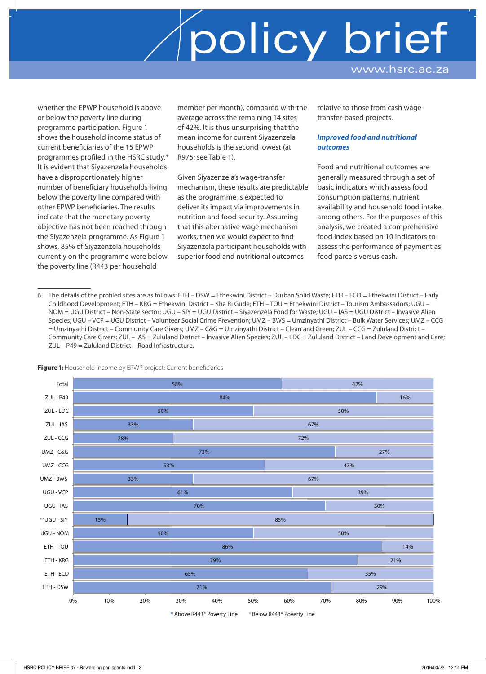# policy brief

www.hsrc.ac.za

whether the EPWP household is above or below the poverty line during programme participation. Figure 1 shows the household income status of current beneficiaries of the 15 EPWP programmes profiled in the HSRC study.6 It is evident that Siyazenzela households have a disproportionately higher number of beneficiary households living below the poverty line compared with other EPWP beneficiaries. The results indicate that the monetary poverty objective has not been reached through the Siyazenzela programme. As Figure 1 shows, 85% of Siyazenzela households currently on the programme were below the poverty line (R443 per household

member per month), compared with the average across the remaining 14 sites of 42%. It is thus unsurprising that the mean income for current Siyazenzela households is the second lowest (at R975; see Table 1).

Given Siyazenzela's wage-transfer mechanism, these results are predictable as the programme is expected to deliver its impact via improvements in nutrition and food security. Assuming that this alternative wage mechanism works, then we would expect to find Siyazenzela participant households with superior food and nutritional outcomes

relative to those from cash wagetransfer-based projects.

#### *Improved food and nutritional outcomes*

Food and nutritional outcomes are generally measured through a set of basic indicators which assess food consumption patterns, nutrient availability and household food intake, among others. For the purposes of this analysis, we created a comprehensive food index based on 10 indicators to assess the performance of payment as food parcels versus cash.

6 The details of the profiled sites are as follows: ETH – DSW = Ethekwini District – Durban Solid Waste; ETH – ECD = Ethekwini District – Early Childhood Development; ETH – KRG = Ethekwini District – Kha Ri Gude; ETH – TOU = Ethekwini District – Tourism Ambassadors; UGU – NOM = UGU District – Non-State sector; UGU – SIY = UGU District – Siyazenzela Food for Waste; UGU – IAS = UGU District – Invasive Alien Species; UGU – VCP = UGU District – Volunteer Social Crime Prevention; UMZ – BWS = Umzinyathi District – Bulk Water Services; UMZ – CCG = Umzinyathi District – Community Care Givers; UMZ – C&G = Umzinyathi District – Clean and Green; ZUL – CCG = Zululand District – Community Care Givers; ZUL – IAS = Zululand District – Invasive Alien Species; ZUL – LDC = Zululand District – Land Development and Care; ZUL – P49 = Zululand District – Road Infrastructure.





**Above R443\* Poverty Line Below R443\* Poverty Line**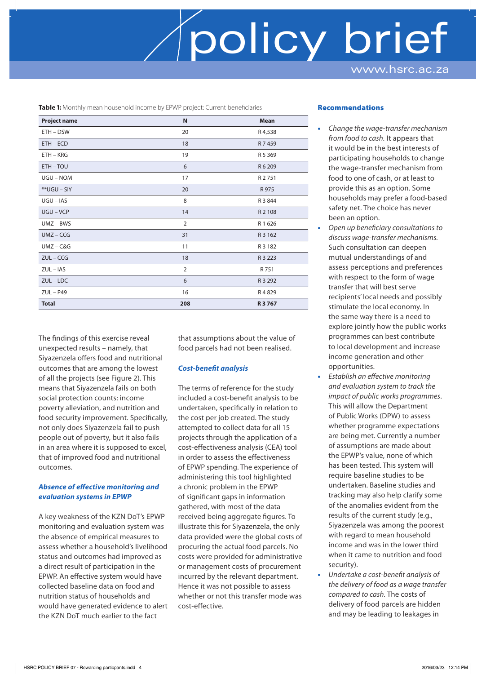### policy brief www.hsrc.ac.za

**Table 1:** Monthly mean household income by EPWP project: Current beneficiaries

| <b>Project name</b> | N              | <b>Mean</b> |
|---------------------|----------------|-------------|
| ETH - DSW           | 20             | R4,538      |
| ETH - ECD           | 18             | R 7459      |
| $ETH - KRG$         | 19             | R 5 3 6 9   |
| ETH-TOU             | 6              | R 6 209     |
| UGU - NOM           | 17             | R 2751      |
| **UGU - SIY         | 20             | R 975       |
| $UGU - IAS$         | 8              | R 3 844     |
| UGU-VCP             | 14             | R 2 108     |
| $UMZ - BWS$         | $\overline{2}$ | R1626       |
| $UMZ - CCG$         | 31             | R 3 162     |
| $UMZ - C&G$         | 11             | R 3 1 8 2   |
| $ZUL - CCG$         | 18             | R 3 2 2 3   |
| $ZUL - IAS$         | $\overline{2}$ | R 751       |
| $ZUL$ – $LDC$       | 6              | R 3 292     |
| $ZUL - P49$         | 16             | R4829       |
| <b>Total</b>        | 208            | R 3 7 6 7   |

The findings of this exercise reveal unexpected results – namely, that Siyazenzela offers food and nutritional outcomes that are among the lowest of all the projects (see Figure 2). This means that Siyazenzela fails on both social protection counts: income poverty alleviation, and nutrition and food security improvement. Specifically, not only does Siyazenzela fail to push people out of poverty, but it also fails in an area where it is supposed to excel, that of improved food and nutritional outcomes.

#### *Absence of effective monitoring and evaluation systems in EPWP*

A key weakness of the KZN DoT's EPWP monitoring and evaluation system was the absence of empirical measures to assess whether a household's livelihood status and outcomes had improved as a direct result of participation in the EPWP. An effective system would have collected baseline data on food and nutrition status of households and would have generated evidence to alert the KZN DoT much earlier to the fact

that assumptions about the value of food parcels had not been realised.

#### *Cost-benefit analysis*

The terms of reference for the study included a cost-benefit analysis to be undertaken, specifically in relation to the cost per job created. The study attempted to collect data for all 15 projects through the application of a cost-effectiveness analysis (CEA) tool in order to assess the effectiveness of EPWP spending. The experience of administering this tool highlighted a chronic problem in the EPWP of significant gaps in information gathered, with most of the data received being aggregate figures. To illustrate this for Siyazenzela, the only data provided were the global costs of procuring the actual food parcels. No costs were provided for administrative or management costs of procurement incurred by the relevant department. Hence it was not possible to assess whether or not this transfer mode was cost-effective.

#### Recommendations

- *Change the wage-transfer mechanism from food to cash.* It appears that it would be in the best interests of participating households to change the wage-transfer mechanism from food to one of cash, or at least to provide this as an option. Some households may prefer a food-based safety net. The choice has never been an option.
- *Open up beneficiary consultations to discuss wage-transfer mechanisms.*  Such consultation can deepen mutual understandings of and assess perceptions and preferences with respect to the form of wage transfer that will best serve recipients' local needs and possibly stimulate the local economy. In the same way there is a need to explore jointly how the public works programmes can best contribute to local development and increase income generation and other opportunities.
- *Establish an effective monitoring and evaluation system to track the impact of public works programmes*. This will allow the Department of Public Works (DPW) to assess whether programme expectations are being met. Currently a number of assumptions are made about the EPWP's value, none of which has been tested. This system will require baseline studies to be undertaken. Baseline studies and tracking may also help clarify some of the anomalies evident from the results of the current study (e.g., Siyazenzela was among the poorest with regard to mean household income and was in the lower third when it came to nutrition and food security).
- *Undertake a cost-benefit analysis of the delivery of food as a wage transfer compared to cash.* The costs of delivery of food parcels are hidden and may be leading to leakages in